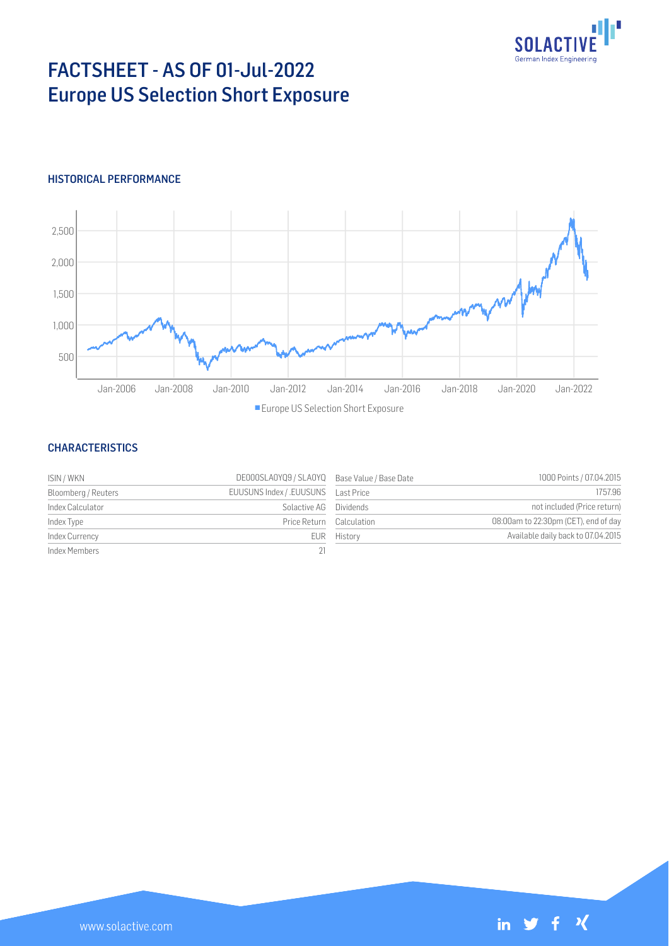

# FACTSHEET - AS OF 01-Jul-2022 Europe US Selection Short Exposure

## HISTORICAL PERFORMANCE



#### **CHARACTERISTICS**

| ISIN / WKN          | DE000SLA0YQ9 / SLA0YQ Base Value / Base Date |             | 1000 Points / 07.04.2015             |
|---------------------|----------------------------------------------|-------------|--------------------------------------|
| Bloomberg / Reuters |                                              |             | 1757.96                              |
| Index Calculator    | Solactive AG Dividends                       |             | not included (Price return)          |
| Index Type          | Price Return Calculation                     |             | 08:00am to 22:30pm (CET), end of day |
| Index Currency      |                                              | EUR History | Available daily back to 07.04.2015   |
| Index Members       | 21                                           |             |                                      |

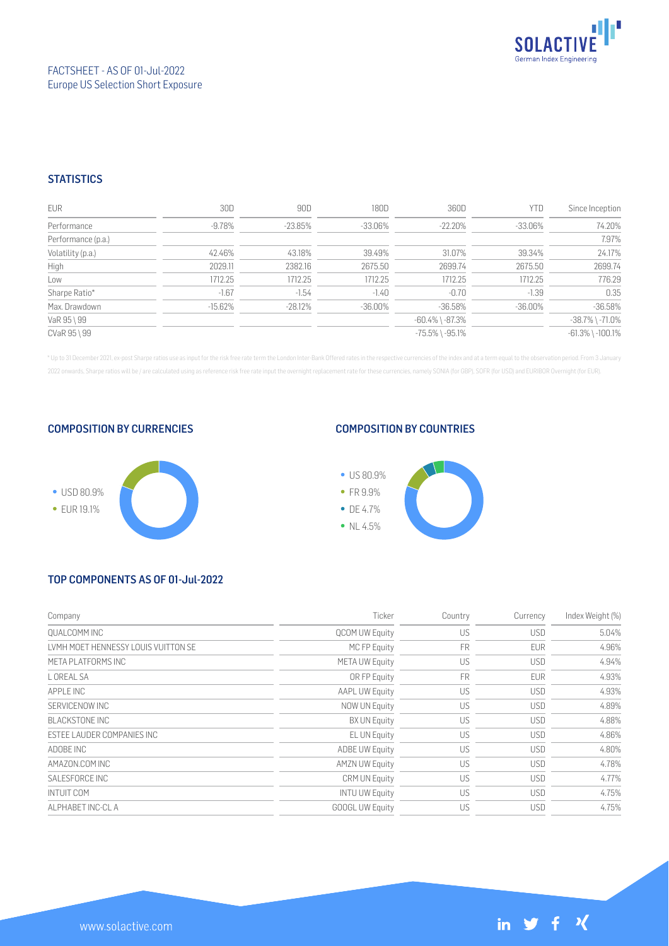

## **STATISTICS**

| <b>EUR</b>         | 30D        | 90D        | 180D       | 360D                  | <b>YTD</b> | Since Inception        |
|--------------------|------------|------------|------------|-----------------------|------------|------------------------|
| Performance        | $-9.78%$   | $-23.85%$  | $-33.06%$  | $-22.20%$             | -33.06%    | 74.20%                 |
| Performance (p.a.) |            |            |            |                       |            | 7.97%                  |
| Volatility (p.a.)  | 42.46%     | 43.18%     | 39.49%     | 31.07%                | 39.34%     | 24.17%                 |
| High               | 2029.11    | 2382.16    | 2675.50    | 2699.74               | 2675.50    | 2699.74                |
| Low                | 1712.25    | 1712.25    | 1712.25    | 1712.25               | 1712.25    | 776.29                 |
| Sharpe Ratio*      | $-1.67$    | $-1.54$    | $-1.40$    | $-0.70$               | $-1.39$    | 0.35                   |
| Max. Drawdown      | $-15.62\%$ | $-28.12\%$ | $-36.00\%$ | $-36.58\%$            | $-36.00\%$ | $-36.58%$              |
| VaR 95 \ 99        |            |            |            | $-60.4\%$ \ $-87.3\%$ |            | $-38.7\%$ \ $-71.0\%$  |
| CVaR 95 \ 99       |            |            |            | $-75.5\%$ \ $-95.1\%$ |            | $-61.3\%$ \ $-100.1\%$ |

\* Up to 31 December 2021, ex-post Sharpe ratios use as input for the risk free rate term the London Inter-Bank Offered rates in the respective currencies of the index and at a term equal to the observation period. From 3 J 2022 onwards, Sharpe ratios will be / are calculated using as reference risk free rate input the overnight replacement rate for these currencies, namely SONIA (for GBP), SOFR (for USD) and EURIBOR Overnight (for EUR).

#### COMPOSITION BY CURRENCIES



#### COMPOSITION BY COUNTRIES



# TOP COMPONENTS AS OF 01-Jul-2022

| Company                             | Ticker                 | Country   | Currency   | Index Weight (%) |
|-------------------------------------|------------------------|-----------|------------|------------------|
| OUALCOMM INC                        | <b>QCOM UW Equity</b>  | US        | <b>USD</b> | 5.04%            |
| LVMH MOET HENNESSY LOUIS VUITTON SE | MC FP Equity           | <b>FR</b> | <b>EUR</b> | 4.96%            |
| META PI ATEORMS INC                 | <b>META UW Equity</b>  | US        | <b>USD</b> | 4.94%            |
| L OREAL SA                          | OR FP Equity           | <b>FR</b> | <b>EUR</b> | 4.93%            |
| APPLE INC                           | <b>AAPL UW Equity</b>  | US        | <b>USD</b> | 4.93%            |
| SERVICENOW INC                      | NOW UN Equity          | US        | <b>USD</b> | 4.89%            |
| <b>BLACKSTONE INC</b>               | <b>BX UN Equity</b>    | US        | <b>USD</b> | 4.88%            |
| ESTEE LAUDER COMPANIES INC          | EL UN Equity           | US        | <b>USD</b> | 4.86%            |
| ADOBE INC                           | ADBE UW Equity         | US        | <b>USD</b> | 4.80%            |
| AMAZON.COM INC                      | <b>AMZN UW Equity</b>  | US        | <b>USD</b> | 4.78%            |
| SALESFORCE INC                      | <b>CRM UN Equity</b>   | US        | <b>USD</b> | 4.77%            |
| <b>INTUIT COM</b>                   | <b>INTU UW Equity</b>  | US        | <b>USD</b> | 4.75%            |
| AI PHABET INC-CLA                   | <b>GOOGL UW Equity</b> | US        | <b>USD</b> | 4.75%            |

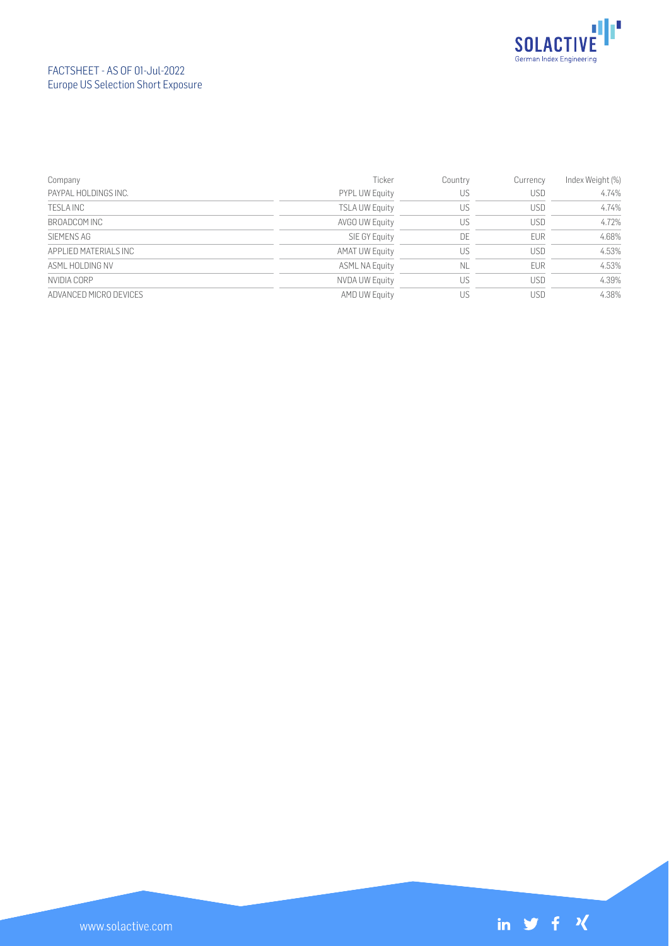

## FACTSHEET - AS OF 01-Jul-2022 Europe US Selection Short Exposure

| Company                | Ticker                | Country | Currency   | Index Weight (%) |
|------------------------|-----------------------|---------|------------|------------------|
| PAYPAL HOLDINGS INC.   | <b>PYPL UW Equity</b> | US      | <b>USD</b> | 4.74%            |
| TESLA INC              | <b>TSLA UW Equity</b> | US      | <b>USD</b> | 4.74%            |
| BROADCOM INC           | AVGO UW Equity        | US      | <b>USD</b> | 4.72%            |
| SIEMENS AG             | SIE GY Equity         | DE      | <b>EUR</b> | 4.68%            |
| APPLIED MATERIALS INC  | <b>AMAT UW Equity</b> | US      | <b>USD</b> | 4.53%            |
| ASML HOLDING NV        | <b>ASML NA Equity</b> | NL      | <b>EUR</b> | 4.53%            |
| NVIDIA CORP            | NVDA UW Equity        | US      | <b>USD</b> | 4.39%            |
| ADVANCED MICRO DEVICES | AMD UW Equity         | US      | <b>USD</b> | 4.38%            |